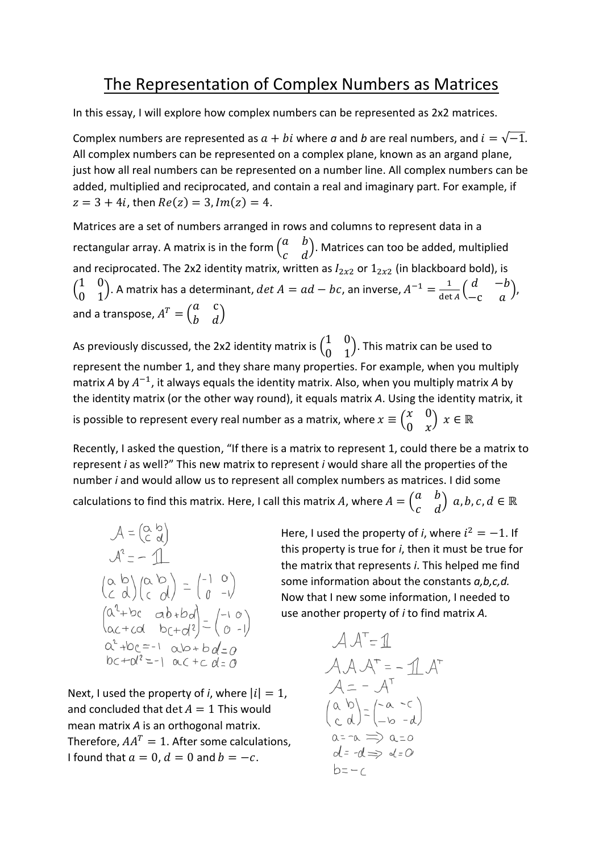## The Representation of Complex Numbers as Matrices

In this essay, I will explore how complex numbers can be represented as 2x2 matrices.

Complex numbers are represented as  $a + bi$  where  $a$  and  $b$  are real numbers, and  $i = \sqrt{-1}$ . All complex numbers can be represented on a complex plane, known as an argand plane, just how all real numbers can be represented on a number line. All complex numbers can be added, multiplied and reciprocated, and contain a real and imaginary part. For example, if  $z = 3 + 4i$ , then  $Re(z) = 3$ ,  $Im(z) = 4$ .

Matrices are a set of numbers arranged in rows and columns to represent data in a rectangular array. A matrix is in the form  $\begin{pmatrix} a & b \\ c & d \end{pmatrix}$  $\begin{pmatrix} a & b \\ c & d \end{pmatrix}$ . Matrices can too be added, multiplied and reciprocated. The 2x2 identity matrix, written as  $I_{2x2}$  or  $1_{2x2}$  (in blackboard bold), is  $\begin{pmatrix} 1 & 0 \\ 0 & 1 \end{pmatrix}$  $\begin{pmatrix} 1 & 0 \\ 0 & 1 \end{pmatrix}$ . A matrix has a determinant,  $det A = ad - bc$ , an inverse,  $A^{-1} = \frac{1}{\det A}$  $\frac{1}{\det A} \begin{pmatrix} d & -b \\ -c & a \end{pmatrix}$  $\begin{pmatrix} a & b \\ -c & a \end{pmatrix}$ , and a transpose,  $A^T = \begin{pmatrix} a & c \\ b & d \end{pmatrix}$  $\begin{pmatrix} a & b \\ b & d \end{pmatrix}$ 

As previously discussed, the 2x2 identity matrix is  $\begin{pmatrix} 1 & 0 \\ 0 & 1 \end{pmatrix}$  $\begin{pmatrix} 1 & 0 \\ 0 & 1 \end{pmatrix}$ . This matrix can be used to represent the number 1, and they share many properties. For example, when you multiply matrix A by  $A^{-1}$ , it always equals the identity matrix. Also, when you multiply matrix A by the identity matrix (or the other way round), it equals matrix *A*. Using the identity matrix, it is possible to represent every real number as a matrix, where  $x \equiv \begin{pmatrix} x & 0 \\ 0 & x \end{pmatrix}$  $\begin{pmatrix} x & 0 \\ 0 & x \end{pmatrix}$   $x \in \mathbb{R}$ 

Recently, I asked the question, "If there is a matrix to represent 1, could there be a matrix to represent *i* as well?" This new matrix to represent *i* would share all the properties of the number *i* and would allow us to represent all complex numbers as matrices. I did some

calculations to find this matrix. Here, I call this matrix A, where  $A = \begin{pmatrix} a & b \\ c & d \end{pmatrix}$  $\begin{pmatrix} a & b \\ c & d \end{pmatrix}$  a, b, c,  $d \in \mathbb{R}$ 

$$
A = \begin{pmatrix} \alpha & b \\ c & d \end{pmatrix}
$$
  
\n
$$
A^2 = -1
$$
  
\n
$$
\begin{pmatrix} \alpha & b \\ c & d \end{pmatrix} \begin{pmatrix} \alpha & b \\ c & d \end{pmatrix} = \begin{pmatrix} -1 & 0 \\ 0 & -1 \end{pmatrix}
$$
  
\n
$$
\begin{pmatrix} \alpha^2 + bc & ab + bd \\ ac + cd & bc + d^2 \end{pmatrix} = \begin{pmatrix} -1 & 0 \\ 0 & -1 \end{pmatrix}
$$
  
\n
$$
\alpha^2 + bc = -1 \alpha + bd = 0
$$
  
\n
$$
bc + \alpha^2 = -1 \alpha + cd = 0
$$

Next, I used the property of *i*, where  $|i| = 1$ , and concluded that det  $A = 1$  This would mean matrix *A* is an orthogonal matrix. Therefore,  $AA^T = 1$ . After some calculations, I found that  $a = 0$ ,  $d = 0$  and  $b = -c$ .

Here, I used the property of *i*, where  $i^2 = -1$ . If this property is true for *i*, then it must be true for the matrix that represents *i*. This helped me find some information about the constants *a,b,c,d.* Now that I new some information, I needed to use another property of *i* to find matrix *A.*

$$
AA^{\top} = 11
$$
  
\n
$$
AA A^{\top} = - 11 A^{\top}
$$
  
\n
$$
A = - A^{\top}
$$
  
\n
$$
\begin{pmatrix} a & b \\ c & d \end{pmatrix} = \begin{pmatrix} -a & -c \\ -b & -d \end{pmatrix}
$$
  
\n
$$
\begin{array}{c} a = -a \implies a = 0 \\ a = -d \implies d = 0 \end{array}
$$
  
\n
$$
b = -c
$$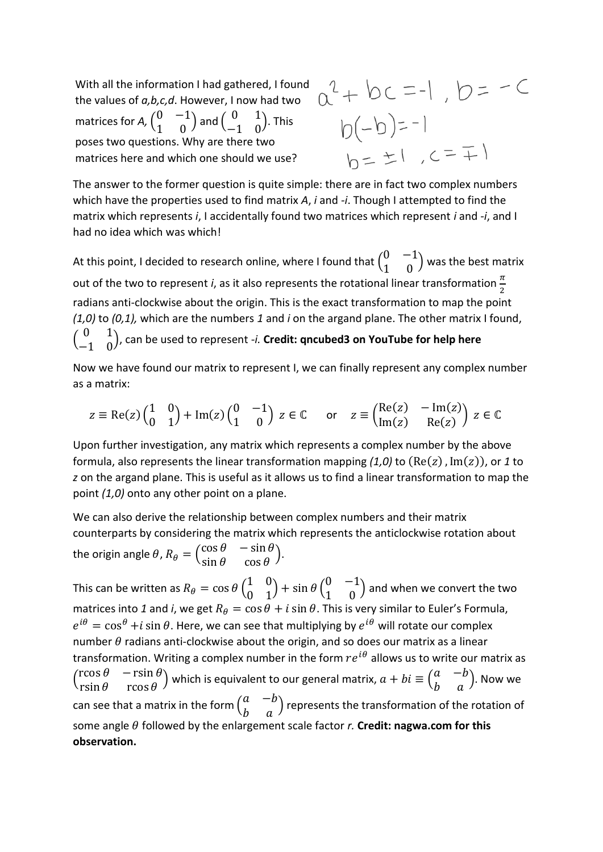With all the information I had gathered, I found the values of *a,b,c,d*. However, I now had two matrices for *A*,  $\begin{pmatrix} 0 & -1 \\ 1 & 0 \end{pmatrix}$  $\left(\begin{matrix} 0 & -1\ 1 & 0 \end{matrix}\right)$  and  $\left(\begin{matrix} 0 & 1\ -1 & 0 \end{matrix}\right)$  $\begin{pmatrix} 0 & 1 \\ -1 & 0 \end{pmatrix}$ . This poses two questions. Why are there two matrices here and which one should we use?

 $a^{2}+bc=-1$ ,  $b=-C$  $b(-b)=-1$  $h = \pm 1, c = \pm 1$ 

The answer to the former question is quite simple: there are in fact two complex numbers which have the properties used to find matrix *A*, *i* and *-i*. Though I attempted to find the matrix which represents *i*, I accidentally found two matrices which represent *i* and *-i*, and I had no idea which was which!

At this point, I decided to research online, where I found that  $\begin{pmatrix} 0 & -1 \\ 1 & 0 \end{pmatrix}$  $\begin{pmatrix} 0 \\ 1 \end{pmatrix}$  was the best matrix out of the two to represent *i*, as it also represents the rotational linear transformation  $\frac{\pi}{2}$ radians anti-clockwise about the origin. This is the exact transformation to map the point *(1,0)* to *(0,1),* which are the numbers *1* and *i* on the argand plane. The other matrix I found,  $\begin{pmatrix} 0 & 1 \\ 1 & 0 \end{pmatrix}$ −1 0 ), can be used to represent *-i.* **Credit: qncubed3 on YouTube for help here**

Now we have found our matrix to represent I, we can finally represent any complex number as a matrix:

$$
z \equiv \text{Re}(z) \begin{pmatrix} 1 & 0 \\ 0 & 1 \end{pmatrix} + \text{Im}(z) \begin{pmatrix} 0 & -1 \\ 1 & 0 \end{pmatrix} z \in \mathbb{C} \quad \text{or} \quad z \equiv \begin{pmatrix} \text{Re}(z) & -\text{Im}(z) \\ \text{Im}(z) & \text{Re}(z) \end{pmatrix} z \in \mathbb{C}
$$

Upon further investigation, any matrix which represents a complex number by the above formula, also represents the linear transformation mapping  $(1.0)$  to  $(Re(z), Im(z))$ , or 1 to *z* on the argand plane. This is useful as it allows us to find a linear transformation to map the point *(1,0)* onto any other point on a plane.

We can also derive the relationship between complex numbers and their matrix counterparts by considering the matrix which represents the anticlockwise rotation about the origin angle  $\theta$ ,  $R_{\theta} = \begin{pmatrix} \cos \theta & -\sin \theta \\ \sin \theta & \cos \theta \end{pmatrix}$  $\begin{bmatrix} \cos \theta & -\sin \theta \\ \sin \theta & \cos \theta \end{bmatrix}$ .

This can be written as  $R_\theta = \cos\theta \left(\begin{matrix} 1 & 0 \ 0 & 1 \end{matrix}\right)$  $\begin{pmatrix} 1 & 0 \\ 0 & 1 \end{pmatrix}$  + sin  $\theta$   $\begin{pmatrix} 0 & -1 \\ 1 & 0 \end{pmatrix}$  $\begin{pmatrix} 0 & 1 \\ 1 & 0 \end{pmatrix}$  and when we convert the two matrices into 1 and *i*, we get  $R_{\theta} = \cos \theta + i \sin \theta$ . This is very similar to Euler's Formula,  $e^{i\theta} = \cos^{\theta} + i \sin \theta$ . Here, we can see that multiplying by  $e^{i\theta}$  will rotate our complex number  $\theta$  radians anti-clockwise about the origin, and so does our matrix as a linear transformation. Writing a complex number in the form  $re^{i\theta}$  allows us to write our matrix as  $\begin{pmatrix} \cos \theta & -\sin \theta \\ \sin \theta & \cos \theta \end{pmatrix}$ rcos  $\theta$   $\theta$   $-\text{rsin }\theta$  ) which is equivalent to our general matrix,  $a + bi \equiv \begin{pmatrix} a & -b \\ b & a \end{pmatrix}$  $\begin{pmatrix} a & b \\ b & a \end{pmatrix}$ . Now we can see that a matrix in the form  $\begin{pmatrix} a & -b \\ b & -a \end{pmatrix}$  $\begin{pmatrix} a & -b \\ b & a \end{pmatrix}$  represents the transformation of the rotation of some angle  $\theta$  followed by the enlargement scale factor  $r$ . **Credit: nagwa.com for this observation.**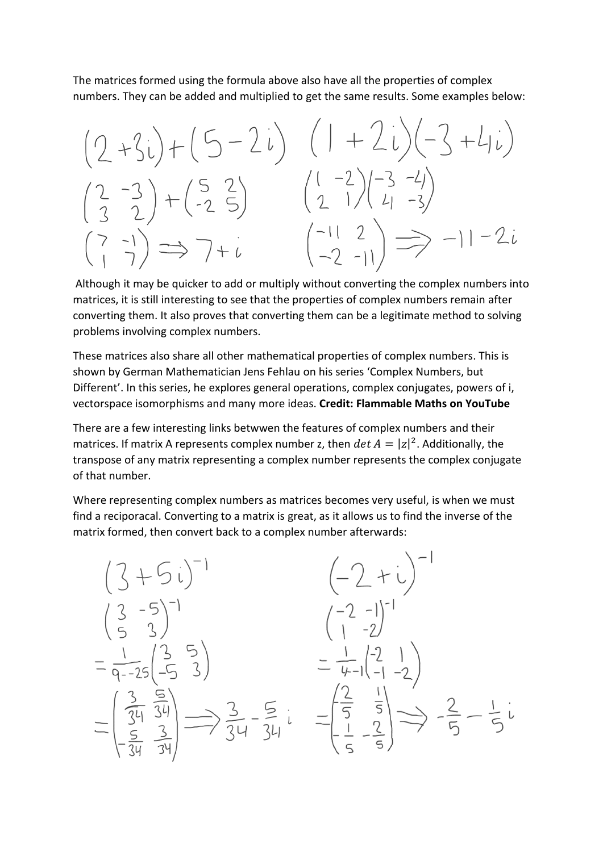The matrices formed using the formula above also have all the properties of complex numbers. They can be added and multiplied to get the same results. Some examples below:

$$
(2+3i)+(5-2i) (1+2i)(-3+4i)
$$
  
\n
$$
(2-3)(-2-3) + (-2-5) (2-1)(-3-4)
$$
  
\n
$$
(2-3)(-2-5) (2-1)(-3-4)
$$
  
\n
$$
(2-3)(-2-1) - 2i
$$

Although it may be quicker to add or multiply without converting the complex numbers into matrices, it is still interesting to see that the properties of complex numbers remain after converting them. It also proves that converting them can be a legitimate method to solving problems involving complex numbers.

These matrices also share all other mathematical properties of complex numbers. This is shown by German Mathematician Jens Fehlau on his series 'Complex Numbers, but Different'. In this series, he explores general operations, complex conjugates, powers of i, vectorspace isomorphisms and many more ideas. **Credit: Flammable Maths on YouTube**

There are a few interesting links betwwen the features of complex numbers and their matrices. If matrix A represents complex number z, then  $\det A = |z|^2$ . Additionally, the transpose of any matrix representing a complex number represents the complex conjugate of that number.

Where representing complex numbers as matrices becomes very useful, is when we must find a reciporacal. Converting to a matrix is great, as it allows us to find the inverse of the matrix formed, then convert back to a complex number afterwards:

$$
\begin{pmatrix} 3+5i \\ 3-5 \\ 53 \end{pmatrix}^{-1} \qquad \begin{pmatrix} -2+ i \\ 1-2 \end{pmatrix}^{-1}
$$
  
\n
$$
= \frac{1}{9-25} \begin{pmatrix} 3 & 5 \\ -5 & 3 \end{pmatrix} \qquad = \frac{1}{4-1} \begin{pmatrix} -2 \\ 1 & -2 \end{pmatrix}^{-1}
$$
  
\n
$$
= \frac{1}{9-25} \begin{pmatrix} 3 & 5 \\ -5 & 3 \end{pmatrix} \qquad = \frac{1}{4-1} \begin{pmatrix} -2 & 1 \\ -1 & -2 \end{pmatrix}
$$
  
\n
$$
= \begin{pmatrix} \frac{3}{24} & \frac{5}{34} \\ -\frac{5}{34} & \frac{3}{34} \end{pmatrix} \Longrightarrow \frac{3}{34} - \frac{5}{34}i = \begin{pmatrix} \frac{2}{5} & \frac{1}{5} \\ \frac{1}{5} & \frac{2}{5} \end{pmatrix} \Longrightarrow -\frac{2}{5} - \frac{1}{5}i
$$